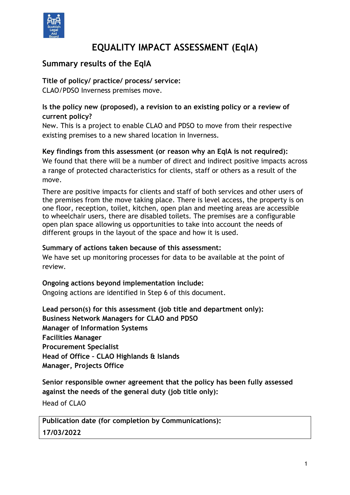

# **EQUALITY IMPACT ASSESSMENT (EqIA)**

# **Summary results of the EqIA**

#### **Title of policy/ practice/ process/ service:**

CLAO/PDSO Inverness premises move.

#### **Is the policy new (proposed), a revision to an existing policy or a review of current policy?**

New. This is a project to enable CLAO and PDSO to move from their respective existing premises to a new shared location in Inverness.

**Key findings from this assessment (or reason why an EqIA is not required):** We found that there will be a number of direct and indirect positive impacts across a range of protected characteristics for clients, staff or others as a result of the

move.

There are positive impacts for clients and staff of both services and other users of the premises from the move taking place. There is level access, the property is on one floor, reception, toilet, kitchen, open plan and meeting areas are accessible to wheelchair users, there are disabled toilets. The premises are a configurable open plan space allowing us opportunities to take into account the needs of different groups in the layout of the space and how it is used.

#### **Summary of actions taken because of this assessment:**

We have set up monitoring processes for data to be available at the point of review.

**Ongoing actions beyond implementation include:**

Ongoing actions are identified in Step 6 of this document.

**Lead person(s) for this assessment (job title and department only): Business Network Managers for CLAO and PDSO Manager of Information Systems Facilities Manager Procurement Specialist Head of Office – CLAO Highlands & Islands Manager, Projects Office**

**Senior responsible owner agreement that the policy has been fully assessed against the needs of the general duty (job title only):**

Head of CLAO

**Publication date (for completion by Communications): 17/03/2022**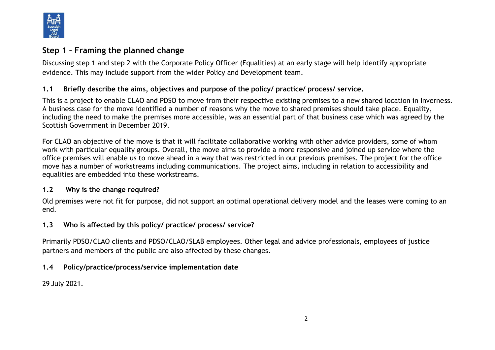

### **Step 1 – Framing the planned change**

Discussing step 1 and step 2 with the Corporate Policy Officer (Equalities) at an early stage will help identify appropriate evidence. This may include support from the wider Policy and Development team.

#### **1.1 Briefly describe the aims, objectives and purpose of the policy/ practice/ process/ service.**

This is a project to enable CLAO and PDSO to move from their respective existing premises to a new shared location in Inverness. A business case for the move identified a number of reasons why the move to shared premises should take place. Equality, including the need to make the premises more accessible, was an essential part of that business case which was agreed by the Scottish Government in December 2019.

For CLAO an objective of the move is that it will facilitate collaborative working with other advice providers, some of whom work with particular equality groups. Overall, the move aims to provide a more responsive and joined up service where the office premises will enable us to move ahead in a way that was restricted in our previous premises. The project for the office move has a number of workstreams including communications. The project aims, including in relation to accessibility and equalities are embedded into these workstreams.

#### **1.2 Why is the change required?**

Old premises were not fit for purpose, did not support an optimal operational delivery model and the leases were coming to an end.

#### **1.3 Who is affected by this policy/ practice/ process/ service?**

Primarily PDSO/CLAO clients and PDSO/CLAO/SLAB employees. Other legal and advice professionals, employees of justice partners and members of the public are also affected by these changes.

### **1.4 Policy/practice/process/service implementation date**

29 July 2021.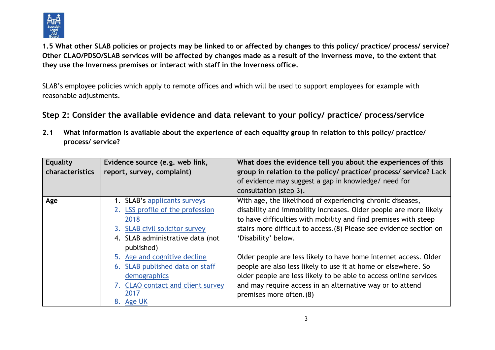

**1.5 What other SLAB policies or projects may be linked to or affected by changes to this policy/ practice/ process/ service? Other CLAO/PDSO/SLAB services will be affected by changes made as a result of the Inverness move, to the extent that they use the Inverness premises or interact with staff in the Inverness office.**

SLAB's employee policies which apply to remote offices and which will be used to support employees for example with reasonable adjustments.

### **Step 2: Consider the available evidence and data relevant to your policy/ practice/ process/service**

**2.1 What information is available about the experience of each equality group in relation to this policy/ practice/ process/ service?** 

| <b>Equality</b><br>characteristics | Evidence source (e.g. web link,<br>report, survey, complaint) | What does the evidence tell you about the experiences of this<br>group in relation to the policy/ practice/ process/ service? Lack<br>of evidence may suggest a gap in knowledge/ need for<br>consultation (step 3). |
|------------------------------------|---------------------------------------------------------------|----------------------------------------------------------------------------------------------------------------------------------------------------------------------------------------------------------------------|
| Age                                | 1. SLAB's applicants surveys                                  | With age, the likelihood of experiencing chronic diseases,                                                                                                                                                           |
|                                    | 2. LSS profile of the profession                              | disability and immobility increases. Older people are more likely                                                                                                                                                    |
|                                    | 2018                                                          | to have difficulties with mobility and find premises with steep                                                                                                                                                      |
|                                    | 3. SLAB civil solicitor survey                                | stairs more difficult to access. (8) Please see evidence section on                                                                                                                                                  |
|                                    | 4. SLAB administrative data (not                              | 'Disability' below.                                                                                                                                                                                                  |
|                                    | published)                                                    |                                                                                                                                                                                                                      |
|                                    | 5. Age and cognitive decline                                  | Older people are less likely to have home internet access. Older                                                                                                                                                     |
|                                    | 6. SLAB published data on staff                               | people are also less likely to use it at home or elsewhere. So                                                                                                                                                       |
|                                    | demographics                                                  | older people are less likely to be able to access online services                                                                                                                                                    |
|                                    | 7. CLAO contact and client survey                             | and may require access in an alternative way or to attend                                                                                                                                                            |
|                                    | 2017                                                          | premises more often. (8)                                                                                                                                                                                             |
|                                    | 8. Age UK                                                     |                                                                                                                                                                                                                      |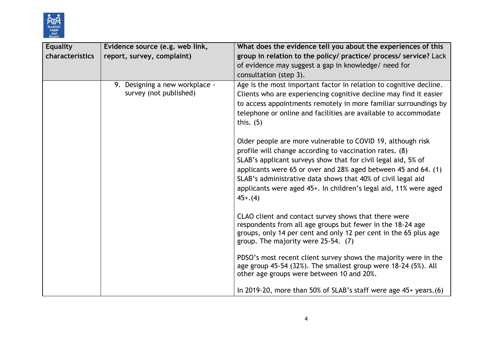

| <b>Equality</b> | Evidence source (e.g. web link,                          | What does the evidence tell you about the experiences of this                                                                                                                                                                                                                                                                                                                                              |
|-----------------|----------------------------------------------------------|------------------------------------------------------------------------------------------------------------------------------------------------------------------------------------------------------------------------------------------------------------------------------------------------------------------------------------------------------------------------------------------------------------|
| characteristics | report, survey, complaint)                               | group in relation to the policy/ practice/ process/ service? Lack                                                                                                                                                                                                                                                                                                                                          |
|                 |                                                          | of evidence may suggest a gap in knowledge/ need for                                                                                                                                                                                                                                                                                                                                                       |
|                 |                                                          | consultation (step 3).                                                                                                                                                                                                                                                                                                                                                                                     |
|                 | 9. Designing a new workplace -<br>survey (not published) | Age is the most important factor in relation to cognitive decline.<br>Clients who are experiencing cognitive decline may find it easier<br>to access appointments remotely in more familiar surroundings by<br>telephone or online and facilities are available to accommodate<br>this. $(5)$                                                                                                              |
|                 |                                                          | Older people are more vulnerable to COVID 19, although risk<br>profile will change according to vaccination rates. (8)<br>SLAB's applicant surveys show that for civil legal aid, 5% of<br>applicants were 65 or over and 28% aged between 45 and 64. (1)<br>SLAB's administrative data shows that 40% of civil legal aid<br>applicants were aged 45+. In children's legal aid, 11% were aged<br>$45+.(4)$ |
|                 |                                                          | CLAO client and contact survey shows that there were<br>respondents from all age groups but fewer in the 18-24 age<br>groups, only 14 per cent and only 12 per cent in the 65 plus age<br>group. The majority were 25-54. (7)                                                                                                                                                                              |
|                 |                                                          | PDSO's most recent client survey shows the majority were in the<br>age group 45-54 (32%). The smallest group were 18-24 (5%). All<br>other age groups were between 10 and 20%.                                                                                                                                                                                                                             |
|                 |                                                          | In 2019-20, more than 50% of SLAB's staff were age $45+$ years. (6)                                                                                                                                                                                                                                                                                                                                        |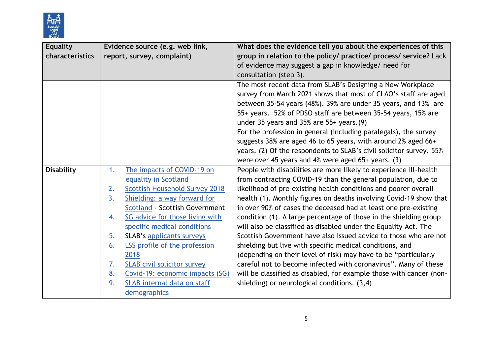

| <b>Equality</b>   |    | Evidence source (e.g. web link,       | What does the evidence tell you about the experiences of this       |
|-------------------|----|---------------------------------------|---------------------------------------------------------------------|
| characteristics   |    | report, survey, complaint)            | group in relation to the policy/ practice/ process/ service? Lack   |
|                   |    |                                       | of evidence may suggest a gap in knowledge/ need for                |
|                   |    |                                       | consultation (step 3).                                              |
|                   |    |                                       | The most recent data from SLAB's Designing a New Workplace          |
|                   |    |                                       | survey from March 2021 shows that most of CLAO's staff are aged     |
|                   |    |                                       | between 35-54 years (48%). 39% are under 35 years, and 13% are      |
|                   |    |                                       | 55+ years. 52% of PDSO staff are between 35-54 years, 15% are       |
|                   |    |                                       | under 35 years and $35\%$ are $55+$ years. (9)                      |
|                   |    |                                       | For the profession in general (including paralegals), the survey    |
|                   |    |                                       | suggests 38% are aged 46 to 65 years, with around 2% aged 66+       |
|                   |    |                                       | years. (2) Of the respondents to SLAB's civil solicitor survey, 55% |
|                   |    |                                       | were over 45 years and 4% were aged $65+$ years. (3)                |
| <b>Disability</b> | 1. | The impacts of COVID-19 on            | People with disabilities are more likely to experience ill-health   |
|                   |    | equality in Scotland                  | from contracting COVID-19 than the general population, due to       |
|                   | 2. | <b>Scottish Household Survey 2018</b> | likelihood of pre-existing health conditions and poorer overall     |
|                   | 3. | Shielding: a way forward for          | health (1). Monthly figures on deaths involving Covid-19 show that  |
|                   |    | <b>Scotland - Scottish Government</b> | in over 90% of cases the deceased had at least one pre-existing     |
|                   | 4. | SG advice for those living with       | condition (1). A large percentage of those in the shielding group   |
|                   |    | specific medical conditions           | will also be classified as disabled under the Equality Act. The     |
|                   | 5. | <b>SLAB's applicants surveys</b>      | Scottish Government have also issued advice to those who are not    |
|                   | 6. | LSS profile of the profession         | shielding but live with specific medical conditions, and            |
|                   |    | 2018                                  | (depending on their level of risk) may have to be "particularly     |
|                   | 7. | <b>SLAB civil solicitor survey</b>    | careful not to become infected with coronavirus". Many of these     |
|                   | 8. | Covid-19: economic impacts (SG)       | will be classified as disabled, for example those with cancer (non- |
|                   | 9. | SLAB internal data on staff           | shielding) or neurological conditions. (3,4)                        |
|                   |    | demographics                          |                                                                     |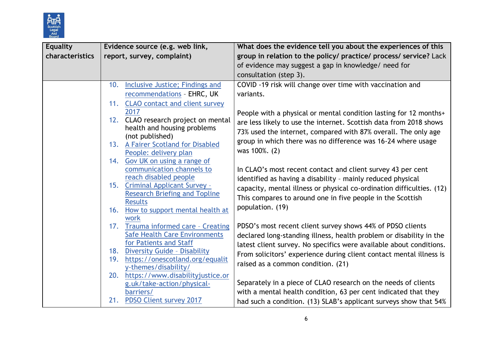

| <b>Equality</b> |     | Evidence source (e.g. web link,                                             | What does the evidence tell you about the experiences of this         |  |
|-----------------|-----|-----------------------------------------------------------------------------|-----------------------------------------------------------------------|--|
| characteristics |     | report, survey, complaint)                                                  | group in relation to the policy/ practice/ process/ service? Lack     |  |
|                 |     |                                                                             | of evidence may suggest a gap in knowledge/ need for                  |  |
|                 |     |                                                                             | consultation (step 3).                                                |  |
|                 | 10. | Inclusive Justice; Findings and                                             | COVID -19 risk will change over time with vaccination and             |  |
|                 |     | recommendations - EHRC, UK                                                  | variants.                                                             |  |
|                 |     | 11. CLAO contact and client survey                                          |                                                                       |  |
|                 |     | 2017                                                                        | People with a physical or mental condition lasting for 12 months+     |  |
|                 |     | 12. CLAO research project on mental                                         | are less likely to use the internet. Scottish data from 2018 shows    |  |
|                 |     | health and housing problems                                                 | 73% used the internet, compared with 87% overall. The only age        |  |
|                 |     | (not published)<br>13. A Fairer Scotland for Disabled                       | group in which there was no difference was 16-24 where usage          |  |
|                 |     | People: delivery plan                                                       | was 100%. (2)                                                         |  |
|                 |     | 14. Gov UK on using a range of                                              |                                                                       |  |
|                 |     | communication channels to                                                   | In CLAO's most recent contact and client survey 43 per cent           |  |
|                 |     | reach disabled people                                                       | identified as having a disability - mainly reduced physical           |  |
|                 |     | 15. Criminal Applicant Survey -                                             | capacity, mental illness or physical co-ordination difficulties. (12) |  |
|                 |     | <b>Research Briefing and Topline</b>                                        | This compares to around one in five people in the Scottish            |  |
|                 |     | <b>Results</b>                                                              | population. (19)                                                      |  |
|                 |     | 16. How to support mental health at                                         |                                                                       |  |
|                 |     | work                                                                        |                                                                       |  |
|                 |     | 17. Trauma informed care - Creating<br><b>Safe Health Care Environments</b> | PDSO's most recent client survey shows 44% of PDSO clients            |  |
|                 |     | for Patients and Staff                                                      | declared long-standing illness, health problem or disability in the   |  |
|                 |     | 18. Diversity Guide - Disability                                            | latest client survey. No specifics were available about conditions.   |  |
|                 |     | 19. https://onescotland.org/equalit                                         | From solicitors' experience during client contact mental illness is   |  |
|                 |     | y-themes/disability/                                                        | raised as a common condition. (21)                                    |  |
|                 |     | 20. https://www.disabilityjustice.or                                        |                                                                       |  |
|                 |     | g.uk/take-action/physical-                                                  | Separately in a piece of CLAO research on the needs of clients        |  |
|                 |     | barriers/                                                                   | with a mental health condition, 63 per cent indicated that they       |  |
|                 |     | 21. PDSO Client survey 2017                                                 | had such a condition. (13) SLAB's applicant surveys show that 54%     |  |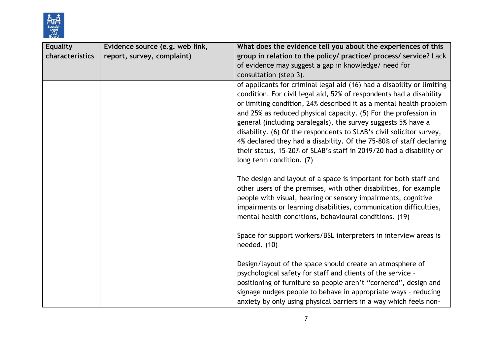

| <b>Equality</b> | Evidence source (e.g. web link, | What does the evidence tell you about the experiences of this                                                                                                                                                                                                                                                                                                                                                                                                                                                                                                                                             |
|-----------------|---------------------------------|-----------------------------------------------------------------------------------------------------------------------------------------------------------------------------------------------------------------------------------------------------------------------------------------------------------------------------------------------------------------------------------------------------------------------------------------------------------------------------------------------------------------------------------------------------------------------------------------------------------|
| characteristics | report, survey, complaint)      | group in relation to the policy/ practice/ process/ service? Lack                                                                                                                                                                                                                                                                                                                                                                                                                                                                                                                                         |
|                 |                                 | of evidence may suggest a gap in knowledge/ need for                                                                                                                                                                                                                                                                                                                                                                                                                                                                                                                                                      |
|                 |                                 | consultation (step 3).                                                                                                                                                                                                                                                                                                                                                                                                                                                                                                                                                                                    |
|                 |                                 | of applicants for criminal legal aid (16) had a disability or limiting<br>condition. For civil legal aid, 52% of respondents had a disability<br>or limiting condition, 24% described it as a mental health problem<br>and 25% as reduced physical capacity. (5) For the profession in<br>general (including paralegals), the survey suggests 5% have a<br>disability. (6) Of the respondents to SLAB's civil solicitor survey,<br>4% declared they had a disability. Of the 75-80% of staff declaring<br>their status, 15-20% of SLAB's staff in 2019/20 had a disability or<br>long term condition. (7) |
|                 |                                 | The design and layout of a space is important for both staff and<br>other users of the premises, with other disabilities, for example<br>people with visual, hearing or sensory impairments, cognitive<br>impairments or learning disabilities, communication difficulties,<br>mental health conditions, behavioural conditions. (19)                                                                                                                                                                                                                                                                     |
|                 |                                 | Space for support workers/BSL interpreters in interview areas is<br>needed. $(10)$                                                                                                                                                                                                                                                                                                                                                                                                                                                                                                                        |
|                 |                                 | Design/layout of the space should create an atmosphere of<br>psychological safety for staff and clients of the service -<br>positioning of furniture so people aren't "cornered", design and<br>signage nudges people to behave in appropriate ways - reducing<br>anxiety by only using physical barriers in a way which feels non-                                                                                                                                                                                                                                                                       |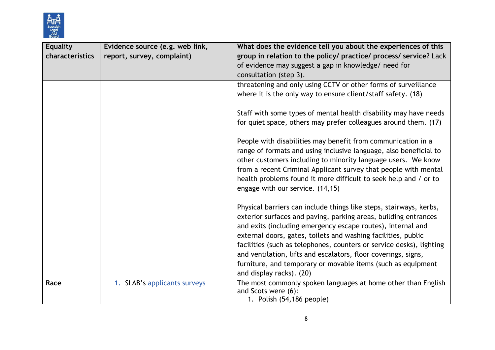

| <b>Equality</b> | Evidence source (e.g. web link, | What does the evidence tell you about the experiences of this                                                                                                                                                                                                                                                                                                                                                                                                                                               |
|-----------------|---------------------------------|-------------------------------------------------------------------------------------------------------------------------------------------------------------------------------------------------------------------------------------------------------------------------------------------------------------------------------------------------------------------------------------------------------------------------------------------------------------------------------------------------------------|
| characteristics | report, survey, complaint)      | group in relation to the policy/ practice/ process/ service? Lack                                                                                                                                                                                                                                                                                                                                                                                                                                           |
|                 |                                 | of evidence may suggest a gap in knowledge/ need for                                                                                                                                                                                                                                                                                                                                                                                                                                                        |
|                 |                                 | consultation (step 3).                                                                                                                                                                                                                                                                                                                                                                                                                                                                                      |
|                 |                                 | threatening and only using CCTV or other forms of surveillance                                                                                                                                                                                                                                                                                                                                                                                                                                              |
|                 |                                 | where it is the only way to ensure client/staff safety. (18)                                                                                                                                                                                                                                                                                                                                                                                                                                                |
|                 |                                 | Staff with some types of mental health disability may have needs<br>for quiet space, others may prefer colleagues around them. (17)                                                                                                                                                                                                                                                                                                                                                                         |
|                 |                                 | People with disabilities may benefit from communication in a<br>range of formats and using inclusive language, also beneficial to<br>other customers including to minority language users. We know<br>from a recent Criminal Applicant survey that people with mental<br>health problems found it more difficult to seek help and / or to<br>engage with our service. (14,15)                                                                                                                               |
|                 |                                 | Physical barriers can include things like steps, stairways, kerbs,<br>exterior surfaces and paving, parking areas, building entrances<br>and exits (including emergency escape routes), internal and<br>external doors, gates, toilets and washing facilities, public<br>facilities (such as telephones, counters or service desks), lighting<br>and ventilation, lifts and escalators, floor coverings, signs,<br>furniture, and temporary or movable items (such as equipment<br>and display racks). (20) |
| Race            | 1. SLAB's applicants surveys    | The most commonly spoken languages at home other than English<br>and Scots were (6):<br>1. Polish (54,186 people)                                                                                                                                                                                                                                                                                                                                                                                           |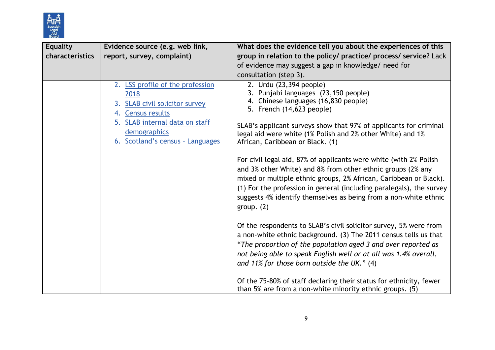

| <b>Equality</b> | Evidence source (e.g. web link,                                                                                                                                                       | What does the evidence tell you about the experiences of this                                                                                                                                                                                                                                                                                                                                                                                                                                                                                                                                                                                                                                                                                                                                                                                                                                                                                                                                                                                                                                                                                   |
|-----------------|---------------------------------------------------------------------------------------------------------------------------------------------------------------------------------------|-------------------------------------------------------------------------------------------------------------------------------------------------------------------------------------------------------------------------------------------------------------------------------------------------------------------------------------------------------------------------------------------------------------------------------------------------------------------------------------------------------------------------------------------------------------------------------------------------------------------------------------------------------------------------------------------------------------------------------------------------------------------------------------------------------------------------------------------------------------------------------------------------------------------------------------------------------------------------------------------------------------------------------------------------------------------------------------------------------------------------------------------------|
| characteristics | report, survey, complaint)                                                                                                                                                            | group in relation to the policy/ practice/ process/ service? Lack                                                                                                                                                                                                                                                                                                                                                                                                                                                                                                                                                                                                                                                                                                                                                                                                                                                                                                                                                                                                                                                                               |
|                 |                                                                                                                                                                                       | of evidence may suggest a gap in knowledge/ need for                                                                                                                                                                                                                                                                                                                                                                                                                                                                                                                                                                                                                                                                                                                                                                                                                                                                                                                                                                                                                                                                                            |
|                 |                                                                                                                                                                                       | consultation (step 3).                                                                                                                                                                                                                                                                                                                                                                                                                                                                                                                                                                                                                                                                                                                                                                                                                                                                                                                                                                                                                                                                                                                          |
|                 | 2. LSS profile of the profession<br>2018<br>3. SLAB civil solicitor survey<br>4. Census results<br>5. SLAB internal data on staff<br>demographics<br>6. Scotland's census - Languages | 2. Urdu (23,394 people)<br>3. Punjabi languages (23,150 people)<br>4. Chinese languages (16,830 people)<br>5. French (14,623 people)<br>SLAB's applicant surveys show that 97% of applicants for criminal<br>legal aid were white (1% Polish and 2% other White) and 1%<br>African, Caribbean or Black. (1)<br>For civil legal aid, 87% of applicants were white (with 2% Polish<br>and 3% other White) and 8% from other ethnic groups (2% any<br>mixed or multiple ethnic groups, 2% African, Caribbean or Black).<br>(1) For the profession in general (including paralegals), the survey<br>suggests 4% identify themselves as being from a non-white ethnic<br>group. $(2)$<br>Of the respondents to SLAB's civil solicitor survey, 5% were from<br>a non-white ethnic background. (3) The 2011 census tells us that<br>"The proportion of the population aged 3 and over reported as<br>not being able to speak English well or at all was 1.4% overall,<br>and 11% for those born outside the UK." (4)<br>Of the 75-80% of staff declaring their status for ethnicity, fewer<br>than 5% are from a non-white minority ethnic groups. (5) |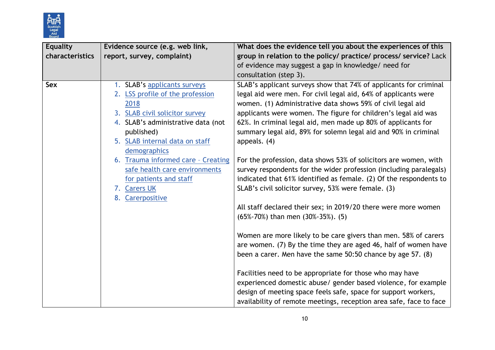

| <b>Equality</b> | Evidence source (e.g. web link,    | What does the evidence tell you about the experiences of this      |
|-----------------|------------------------------------|--------------------------------------------------------------------|
| characteristics | report, survey, complaint)         | group in relation to the policy/ practice/ process/ service? Lack  |
|                 |                                    | of evidence may suggest a gap in knowledge/ need for               |
|                 |                                    | consultation (step 3).                                             |
| Sex             | 1. SLAB's applicants surveys       | SLAB's applicant surveys show that 74% of applicants for criminal  |
|                 | 2. LSS profile of the profession   | legal aid were men. For civil legal aid, 64% of applicants were    |
|                 | 2018                               | women. (1) Administrative data shows 59% of civil legal aid        |
|                 | 3. SLAB civil solicitor survey     | applicants were women. The figure for children's legal aid was     |
|                 | 4. SLAB's administrative data (not | 62%. In criminal legal aid, men made up 80% of applicants for      |
|                 | published)                         | summary legal aid, 89% for solemn legal aid and 90% in criminal    |
|                 | 5. SLAB internal data on staff     | appeals. (4)                                                       |
|                 | demographics                       |                                                                    |
|                 | 6. Trauma informed care - Creating | For the profession, data shows 53% of solicitors are women, with   |
|                 | safe health care environments      | survey respondents for the wider profession (including paralegals) |
|                 | for patients and staff             | indicated that 61% identified as female. (2) Of the respondents to |
|                 | 7. Carers UK                       | SLAB's civil solicitor survey, 53% were female. (3)                |
|                 | Carerpositive<br>8.                |                                                                    |
|                 |                                    | All staff declared their sex; in 2019/20 there were more women     |
|                 |                                    | (65%-70%) than men (30%-35%). (5)                                  |
|                 |                                    |                                                                    |
|                 |                                    | Women are more likely to be care givers than men. 58% of carers    |
|                 |                                    | are women. (7) By the time they are aged 46, half of women have    |
|                 |                                    | been a carer. Men have the same 50:50 chance by age 57. (8)        |
|                 |                                    |                                                                    |
|                 |                                    | Facilities need to be appropriate for those who may have           |
|                 |                                    | experienced domestic abuse/ gender based violence, for example     |
|                 |                                    | design of meeting space feels safe, space for support workers,     |
|                 |                                    | availability of remote meetings, reception area safe, face to face |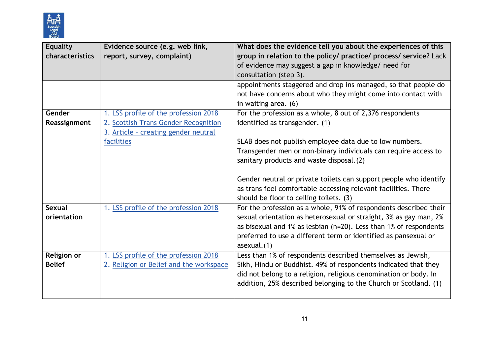

| <b>Equality</b> | Evidence source (e.g. web link,         | What does the evidence tell you about the experiences of this     |  |  |
|-----------------|-----------------------------------------|-------------------------------------------------------------------|--|--|
| characteristics | report, survey, complaint)              | group in relation to the policy/ practice/ process/ service? Lack |  |  |
|                 |                                         | of evidence may suggest a gap in knowledge/ need for              |  |  |
|                 |                                         | consultation (step 3).                                            |  |  |
|                 |                                         | appointments staggered and drop ins managed, so that people do    |  |  |
|                 |                                         | not have concerns about who they might come into contact with     |  |  |
|                 |                                         | in waiting area. (6)                                              |  |  |
| Gender          | 1. LSS profile of the profession 2018   | For the profession as a whole, 8 out of 2,376 respondents         |  |  |
| Reassignment    | 2. Scottish Trans Gender Recognition    | identified as transgender. (1)                                    |  |  |
|                 | 3. Article - creating gender neutral    |                                                                   |  |  |
|                 | facilities                              | SLAB does not publish employee data due to low numbers.           |  |  |
|                 |                                         | Transgender men or non-binary individuals can require access to   |  |  |
|                 |                                         | sanitary products and waste disposal.(2)                          |  |  |
|                 |                                         |                                                                   |  |  |
|                 |                                         | Gender neutral or private toilets can support people who identify |  |  |
|                 |                                         | as trans feel comfortable accessing relevant facilities. There    |  |  |
|                 |                                         | should be floor to ceiling toilets. (3)                           |  |  |
| <b>Sexual</b>   | 1. LSS profile of the profession 2018   | For the profession as a whole, 91% of respondents described their |  |  |
| orientation     |                                         | sexual orientation as heterosexual or straight, 3% as gay man, 2% |  |  |
|                 |                                         | as bisexual and 1% as lesbian (n=20). Less than 1% of respondents |  |  |
|                 |                                         | preferred to use a different term or identified as pansexual or   |  |  |
|                 |                                         | asexual.(1)                                                       |  |  |
| Religion or     | 1. LSS profile of the profession 2018   | Less than 1% of respondents described themselves as Jewish,       |  |  |
| <b>Belief</b>   | 2. Religion or Belief and the workspace | Sikh, Hindu or Buddhist. 49% of respondents indicated that they   |  |  |
|                 |                                         | did not belong to a religion, religious denomination or body. In  |  |  |
|                 |                                         | addition, 25% described belonging to the Church or Scotland. (1)  |  |  |
|                 |                                         |                                                                   |  |  |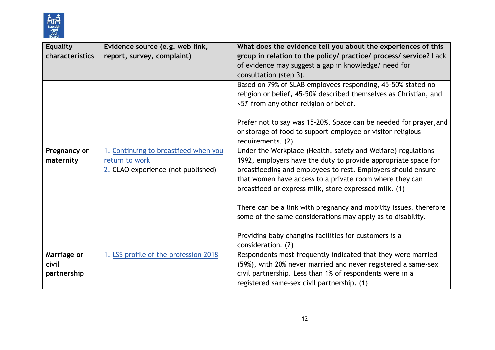

| <b>Equality</b> | Evidence source (e.g. web link,       | What does the evidence tell you about the experiences of this                                                                                                              |  |
|-----------------|---------------------------------------|----------------------------------------------------------------------------------------------------------------------------------------------------------------------------|--|
| characteristics | report, survey, complaint)            | group in relation to the policy/ practice/ process/ service? Lack<br>of evidence may suggest a gap in knowledge/ need for<br>consultation (step 3).                        |  |
|                 |                                       | Based on 79% of SLAB employees responding, 45-50% stated no<br>religion or belief, 45-50% described themselves as Christian, and<br><5% from any other religion or belief. |  |
|                 |                                       | Prefer not to say was 15-20%. Space can be needed for prayer, and<br>or storage of food to support employee or visitor religious<br>requirements. (2)                      |  |
| Pregnancy or    | 1. Continuing to breastfeed when you  | Under the Workplace (Health, safety and Welfare) regulations                                                                                                               |  |
| maternity       | return to work                        | 1992, employers have the duty to provide appropriate space for                                                                                                             |  |
|                 | 2. CLAO experience (not published)    | breastfeeding and employees to rest. Employers should ensure                                                                                                               |  |
|                 |                                       | that women have access to a private room where they can                                                                                                                    |  |
|                 |                                       | breastfeed or express milk, store expressed milk. (1)                                                                                                                      |  |
|                 |                                       | There can be a link with pregnancy and mobility issues, therefore<br>some of the same considerations may apply as to disability.                                           |  |
|                 |                                       | Providing baby changing facilities for customers is a<br>consideration. (2)                                                                                                |  |
| Marriage or     | 1. LSS profile of the profession 2018 | Respondents most frequently indicated that they were married                                                                                                               |  |
| civil           |                                       | (59%), with 20% never married and never registered a same-sex                                                                                                              |  |
| partnership     |                                       | civil partnership. Less than 1% of respondents were in a                                                                                                                   |  |
|                 |                                       | registered same-sex civil partnership. (1)                                                                                                                                 |  |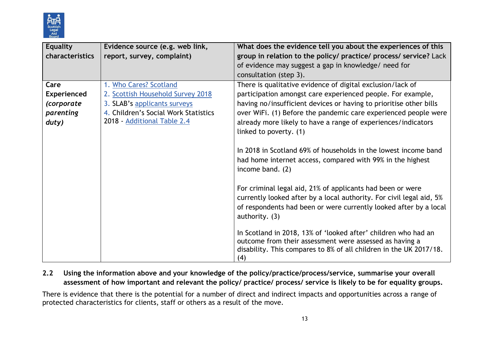

| <b>Equality</b>    | Evidence source (e.g. web link,      | What does the evidence tell you about the experiences of this        |  |
|--------------------|--------------------------------------|----------------------------------------------------------------------|--|
| characteristics    | report, survey, complaint)           | group in relation to the policy/ practice/ process/ service? Lack    |  |
|                    |                                      | of evidence may suggest a gap in knowledge/ need for                 |  |
|                    |                                      | consultation (step 3).                                               |  |
| Care               | 1. Who Cares? Scotland               | There is qualitative evidence of digital exclusion/lack of           |  |
| <b>Experienced</b> | 2. Scottish Household Survey 2018    | participation amongst care experienced people. For example,          |  |
| <i>(corporate</i>  | 3. SLAB's applicants surveys         | having no/insufficient devices or having to prioritise other bills   |  |
| parenting          | 4. Children's Social Work Statistics | over WiFi. (1) Before the pandemic care experienced people were      |  |
| duty)              | 2018 - Additional Table 2.4          | already more likely to have a range of experiences/indicators        |  |
|                    |                                      | linked to poverty. (1)                                               |  |
|                    |                                      |                                                                      |  |
|                    |                                      | In 2018 in Scotland 69% of households in the lowest income band      |  |
|                    |                                      | had home internet access, compared with 99% in the highest           |  |
|                    |                                      | income band. (2)                                                     |  |
|                    |                                      |                                                                      |  |
|                    |                                      | For criminal legal aid, 21% of applicants had been or were           |  |
|                    |                                      | currently looked after by a local authority. For civil legal aid, 5% |  |
|                    |                                      | of respondents had been or were currently looked after by a local    |  |
|                    |                                      | authority. (3)                                                       |  |
|                    |                                      | In Scotland in 2018, 13% of 'looked after' children who had an       |  |
|                    |                                      | outcome from their assessment were assessed as having a              |  |
|                    |                                      | disability. This compares to 8% of all children in the UK 2017/18.   |  |
|                    |                                      | (4)                                                                  |  |

**2.2 Using the information above and your knowledge of the policy/practice/process/service, summarise your overall assessment of how important and relevant the policy/ practice/ process/ service is likely to be for equality groups.**

There is evidence that there is the potential for a number of direct and indirect impacts and opportunities across a range of protected characteristics for clients, staff or others as a result of the move.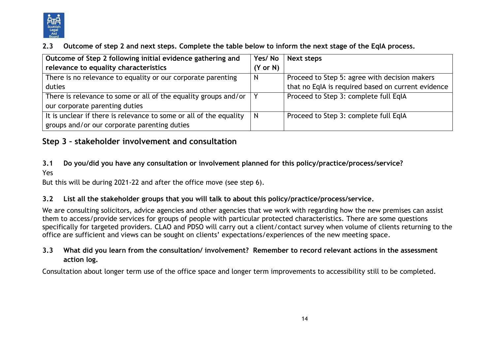

### **2.3 Outcome of step 2 and next steps. Complete the table below to inform the next stage of the EqIA process.**

| Outcome of Step 2 following initial evidence gathering and              |                     | Next steps                                         |
|-------------------------------------------------------------------------|---------------------|----------------------------------------------------|
| relevance to equality characteristics                                   | $(Y \text{ or } N)$ |                                                    |
| There is no relevance to equality or our corporate parenting            | N                   | Proceed to Step 5: agree with decision makers      |
| duties                                                                  |                     | that no EqIA is required based on current evidence |
| There is relevance to some or all of the equality groups and/or $\vert$ |                     | Proceed to Step 3: complete full EqIA              |
| our corporate parenting duties                                          |                     |                                                    |
| It is unclear if there is relevance to some or all of the equality      | N                   | Proceed to Step 3: complete full EqIA              |
| groups and/or our corporate parenting duties                            |                     |                                                    |

# **Step 3 – stakeholder involvement and consultation**

#### **3.1 Do you/did you have any consultation or involvement planned for this policy/practice/process/service?**  Yes

But this will be during 2021-22 and after the office move (see step 6).

#### **3.2 List all the stakeholder groups that you will talk to about this policy/practice/process/service.**

We are consulting solicitors, advice agencies and other agencies that we work with regarding how the new premises can assist them to access/provide services for groups of people with particular protected characteristics. There are some questions specifically for targeted providers. CLAO and PDSO will carry out a client/contact survey when volume of clients returning to the office are sufficient and views can be sought on clients' expectations/experiences of the new meeting space.

### **3.3 What did you learn from the consultation/ involvement? Remember to record relevant actions in the assessment action log.**

Consultation about longer term use of the office space and longer term improvements to accessibility still to be completed.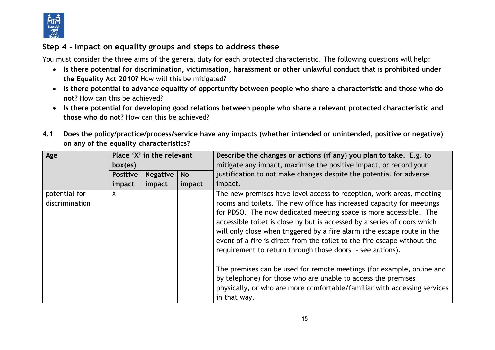

# **Step 4 - Impact on equality groups and steps to address these**

You must consider the three aims of the general duty for each protected characteristic. The following questions will help:

- **Is there potential for discrimination, victimisation, harassment or other unlawful conduct that is prohibited under the Equality Act 2010?** How will this be mitigated?
- **Is there potential to advance equality of opportunity between people who share a characteristic and those who do not?** How can this be achieved?
- **Is there potential for developing good relations between people who share a relevant protected characteristic and those who do not?** How can this be achieved?
- **4.1 Does the policy/practice/process/service have any impacts (whether intended or unintended, positive or negative) on any of the equality characteristics?**

| Age            | Place 'X' in the relevant |                 |           | Describe the changes or actions (if any) you plan to take. E.g. to       |
|----------------|---------------------------|-----------------|-----------|--------------------------------------------------------------------------|
|                | box(es)                   |                 |           | mitigate any impact, maximise the positive impact, or record your        |
|                | <b>Positive</b>           | <b>Negative</b> | <b>No</b> | justification to not make changes despite the potential for adverse      |
|                | impact                    | impact          | impact    | impact.                                                                  |
| potential for  | $\sf X$                   |                 |           | The new premises have level access to reception, work areas, meeting     |
| discrimination |                           |                 |           | rooms and toilets. The new office has increased capacity for meetings    |
|                |                           |                 |           | for PDSO. The now dedicated meeting space is more accessible. The        |
|                |                           |                 |           | accessible toilet is close by but is accessed by a series of doors which |
|                |                           |                 |           | will only close when triggered by a fire alarm (the escape route in the  |
|                |                           |                 |           | event of a fire is direct from the toilet to the fire escape without the |
|                |                           |                 |           | requirement to return through those doors - see actions).                |
|                |                           |                 |           | The premises can be used for remote meetings (for example, online and    |
|                |                           |                 |           | by telephone) for those who are unable to access the premises            |
|                |                           |                 |           | physically, or who are more comfortable/familiar with accessing services |
|                |                           |                 |           | in that way.                                                             |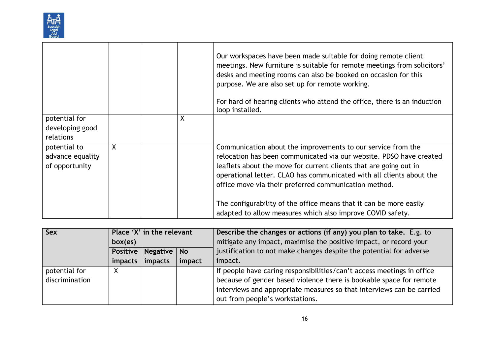

|                                                    |         |   | Our workspaces have been made suitable for doing remote client<br>meetings. New furniture is suitable for remote meetings from solicitors'<br>desks and meeting rooms can also be booked on occasion for this<br>purpose. We are also set up for remote working.<br>For hard of hearing clients who attend the office, there is an induction<br>loop installed. |  |
|----------------------------------------------------|---------|---|-----------------------------------------------------------------------------------------------------------------------------------------------------------------------------------------------------------------------------------------------------------------------------------------------------------------------------------------------------------------|--|
| potential for<br>developing good<br>relations      |         | X |                                                                                                                                                                                                                                                                                                                                                                 |  |
| potential to<br>advance equality<br>of opportunity | $\sf X$ |   | Communication about the improvements to our service from the<br>relocation has been communicated via our website. PDSO have created<br>leaflets about the move for current clients that are going out in<br>operational letter. CLAO has communicated with all clients about the<br>office move via their preferred communication method.                       |  |
|                                                    |         |   | The configurability of the office means that it can be more easily<br>adapted to allow measures which also improve COVID safety.                                                                                                                                                                                                                                |  |

| <b>Sex</b>     | Place 'X' in the relevant |          |           | Describe the changes or actions (if any) you plan to take. E.g. to     |
|----------------|---------------------------|----------|-----------|------------------------------------------------------------------------|
|                | box(es)                   |          |           | mitigate any impact, maximise the positive impact, or record your      |
|                | Positive                  | Negative | <b>No</b> | justification to not make changes despite the potential for adverse    |
|                | impacts                   | impacts  | impact    | impact.                                                                |
| potential for  | х                         |          |           | If people have caring responsibilities/can't access meetings in office |
| discrimination |                           |          |           | because of gender based violence there is bookable space for remote    |
|                |                           |          |           | interviews and appropriate measures so that interviews can be carried  |
|                |                           |          |           | out from people's workstations.                                        |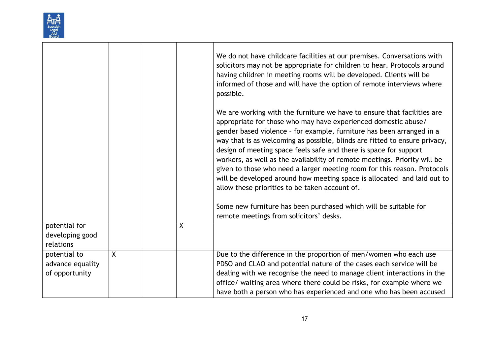|                                                    |   |   | We do not have childcare facilities at our premises. Conversations with<br>solicitors may not be appropriate for children to hear. Protocols around<br>having children in meeting rooms will be developed. Clients will be<br>informed of those and will have the option of remote interviews where<br>possible.                                                                                                                                                                                                                                                                                                                                                                                                                |
|----------------------------------------------------|---|---|---------------------------------------------------------------------------------------------------------------------------------------------------------------------------------------------------------------------------------------------------------------------------------------------------------------------------------------------------------------------------------------------------------------------------------------------------------------------------------------------------------------------------------------------------------------------------------------------------------------------------------------------------------------------------------------------------------------------------------|
|                                                    |   |   | We are working with the furniture we have to ensure that facilities are<br>appropriate for those who may have experienced domestic abuse/<br>gender based violence - for example, furniture has been arranged in a<br>way that is as welcoming as possible, blinds are fitted to ensure privacy,<br>design of meeting space feels safe and there is space for support<br>workers, as well as the availability of remote meetings. Priority will be<br>given to those who need a larger meeting room for this reason. Protocols<br>will be developed around how meeting space is allocated and laid out to<br>allow these priorities to be taken account of.<br>Some new furniture has been purchased which will be suitable for |
|                                                    |   |   | remote meetings from solicitors' desks.                                                                                                                                                                                                                                                                                                                                                                                                                                                                                                                                                                                                                                                                                         |
| potential for<br>developing good<br>relations      |   | X |                                                                                                                                                                                                                                                                                                                                                                                                                                                                                                                                                                                                                                                                                                                                 |
| potential to<br>advance equality<br>of opportunity | X |   | Due to the difference in the proportion of men/women who each use<br>PDSO and CLAO and potential nature of the cases each service will be<br>dealing with we recognise the need to manage client interactions in the<br>office/ waiting area where there could be risks, for example where we<br>have both a person who has experienced and one who has been accused                                                                                                                                                                                                                                                                                                                                                            |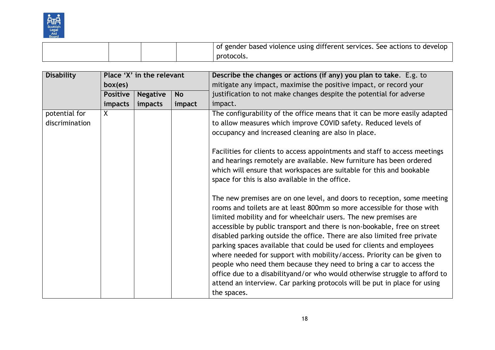

|  | t based violence using different services. See actions to develop to<br>gender |
|--|--------------------------------------------------------------------------------|
|  | protocols.                                                                     |

| <b>Disability</b> |                 | Place 'X' in the relevant |           | Describe the changes or actions (if any) you plan to take. E.g. to                                                                                                                                                                                                                                                                                                                                                                                                                                                                                                                                                                                                                                                                                                                |
|-------------------|-----------------|---------------------------|-----------|-----------------------------------------------------------------------------------------------------------------------------------------------------------------------------------------------------------------------------------------------------------------------------------------------------------------------------------------------------------------------------------------------------------------------------------------------------------------------------------------------------------------------------------------------------------------------------------------------------------------------------------------------------------------------------------------------------------------------------------------------------------------------------------|
|                   | box(es)         |                           |           | mitigate any impact, maximise the positive impact, or record your                                                                                                                                                                                                                                                                                                                                                                                                                                                                                                                                                                                                                                                                                                                 |
|                   | <b>Positive</b> | <b>Negative</b>           | <b>No</b> | justification to not make changes despite the potential for adverse                                                                                                                                                                                                                                                                                                                                                                                                                                                                                                                                                                                                                                                                                                               |
|                   | impacts         | impacts                   | impact    | impact.                                                                                                                                                                                                                                                                                                                                                                                                                                                                                                                                                                                                                                                                                                                                                                           |
| potential for     | $\mathsf{X}$    |                           |           | The configurability of the office means that it can be more easily adapted                                                                                                                                                                                                                                                                                                                                                                                                                                                                                                                                                                                                                                                                                                        |
| discrimination    |                 |                           |           | to allow measures which improve COVID safety. Reduced levels of                                                                                                                                                                                                                                                                                                                                                                                                                                                                                                                                                                                                                                                                                                                   |
|                   |                 |                           |           | occupancy and increased cleaning are also in place.                                                                                                                                                                                                                                                                                                                                                                                                                                                                                                                                                                                                                                                                                                                               |
|                   |                 |                           |           | Facilities for clients to access appointments and staff to access meetings<br>and hearings remotely are available. New furniture has been ordered<br>which will ensure that workspaces are suitable for this and bookable<br>space for this is also available in the office.                                                                                                                                                                                                                                                                                                                                                                                                                                                                                                      |
|                   |                 |                           |           | The new premises are on one level, and doors to reception, some meeting<br>rooms and toilets are at least 800mm so more accessible for those with<br>limited mobility and for wheelchair users. The new premises are<br>accessible by public transport and there is non-bookable, free on street<br>disabled parking outside the office. There are also limited free private<br>parking spaces available that could be used for clients and employees<br>where needed for support with mobility/access. Priority can be given to<br>people who need them because they need to bring a car to access the<br>office due to a disabilityand/or who would otherwise struggle to afford to<br>attend an interview. Car parking protocols will be put in place for using<br>the spaces. |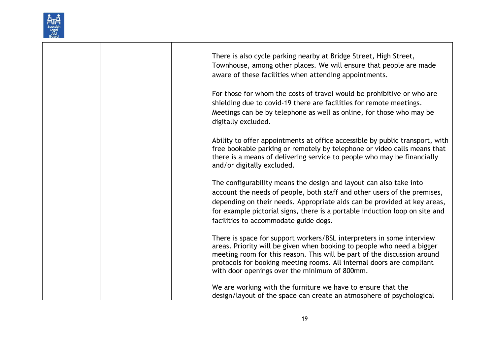

|  |  | There is also cycle parking nearby at Bridge Street, High Street,<br>Townhouse, among other places. We will ensure that people are made<br>aware of these facilities when attending appointments.                                                                                                                                                     |
|--|--|-------------------------------------------------------------------------------------------------------------------------------------------------------------------------------------------------------------------------------------------------------------------------------------------------------------------------------------------------------|
|  |  | For those for whom the costs of travel would be prohibitive or who are<br>shielding due to covid-19 there are facilities for remote meetings.<br>Meetings can be by telephone as well as online, for those who may be<br>digitally excluded.                                                                                                          |
|  |  | Ability to offer appointments at office accessible by public transport, with<br>free bookable parking or remotely by telephone or video calls means that<br>there is a means of delivering service to people who may be financially<br>and/or digitally excluded.                                                                                     |
|  |  | The configurability means the design and layout can also take into<br>account the needs of people, both staff and other users of the premises,<br>depending on their needs. Appropriate aids can be provided at key areas,<br>for example pictorial signs, there is a portable induction loop on site and<br>facilities to accommodate guide dogs.    |
|  |  | There is space for support workers/BSL interpreters in some interview<br>areas. Priority will be given when booking to people who need a bigger<br>meeting room for this reason. This will be part of the discussion around<br>protocols for booking meeting rooms. All internal doors are compliant<br>with door openings over the minimum of 800mm. |
|  |  | We are working with the furniture we have to ensure that the<br>design/layout of the space can create an atmosphere of psychological                                                                                                                                                                                                                  |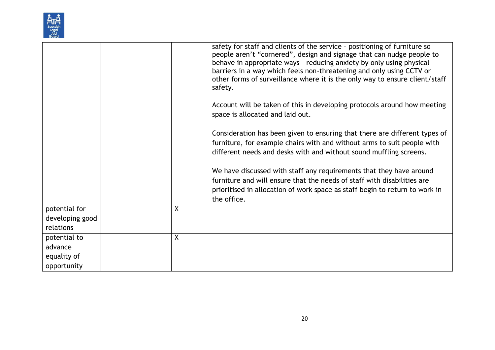| Scottish     |  |
|--------------|--|
| Legal        |  |
| Aid<br>Board |  |

|                                                       |   | safety for staff and clients of the service - positioning of furniture so<br>people aren't "cornered", design and signage that can nudge people to<br>behave in appropriate ways - reducing anxiety by only using physical<br>barriers in a way which feels non-threatening and only using CCTV or<br>other forms of surveillance where it is the only way to ensure client/staff<br>safety. |
|-------------------------------------------------------|---|----------------------------------------------------------------------------------------------------------------------------------------------------------------------------------------------------------------------------------------------------------------------------------------------------------------------------------------------------------------------------------------------|
|                                                       |   | Account will be taken of this in developing protocols around how meeting<br>space is allocated and laid out.                                                                                                                                                                                                                                                                                 |
|                                                       |   | Consideration has been given to ensuring that there are different types of<br>furniture, for example chairs with and without arms to suit people with<br>different needs and desks with and without sound muffling screens.<br>We have discussed with staff any requirements that they have around                                                                                           |
|                                                       |   | furniture and will ensure that the needs of staff with disabilities are<br>prioritised in allocation of work space as staff begin to return to work in<br>the office.                                                                                                                                                                                                                        |
| potential for<br>developing good<br>relations         | Χ |                                                                                                                                                                                                                                                                                                                                                                                              |
| potential to<br>advance<br>equality of<br>opportunity | X |                                                                                                                                                                                                                                                                                                                                                                                              |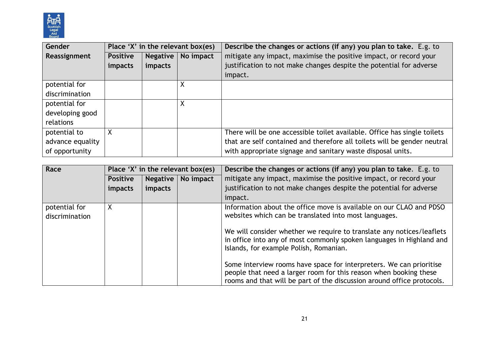

| Gender           |                 | Place 'X' in the relevant box(es) |           | Describe the changes or actions (if any) you plan to take. E.g. to       |
|------------------|-----------------|-----------------------------------|-----------|--------------------------------------------------------------------------|
| Reassignment     | <b>Positive</b> | <b>Negative</b>                   | No impact | mitigate any impact, maximise the positive impact, or record your        |
|                  | impacts         | impacts                           |           | justification to not make changes despite the potential for adverse      |
|                  |                 |                                   |           | impact.                                                                  |
| potential for    |                 |                                   | Χ         |                                                                          |
| discrimination   |                 |                                   |           |                                                                          |
| potential for    |                 |                                   | Χ         |                                                                          |
| developing good  |                 |                                   |           |                                                                          |
| relations        |                 |                                   |           |                                                                          |
| potential to     | Χ               |                                   |           | There will be one accessible toilet available. Office has single toilets |
| advance equality |                 |                                   |           | that are self contained and therefore all toilets will be gender neutral |
| of opportunity   |                 |                                   |           | with appropriate signage and sanitary waste disposal units.              |

| Race                            |                 |                 | Place 'X' in the relevant box(es) | Describe the changes or actions (if any) you plan to take. E.g. to                                                                                                                                                 |
|---------------------------------|-----------------|-----------------|-----------------------------------|--------------------------------------------------------------------------------------------------------------------------------------------------------------------------------------------------------------------|
|                                 | <b>Positive</b> | <b>Negative</b> | No impact                         | mitigate any impact, maximise the positive impact, or record your                                                                                                                                                  |
|                                 | impacts         | impacts         |                                   | justification to not make changes despite the potential for adverse                                                                                                                                                |
|                                 |                 |                 |                                   | impact.                                                                                                                                                                                                            |
| potential for<br>discrimination | Χ               |                 |                                   | Information about the office move is available on our CLAO and PDSO<br>websites which can be translated into most languages.                                                                                       |
|                                 |                 |                 |                                   | We will consider whether we require to translate any notices/leaflets<br>in office into any of most commonly spoken languages in Highland and<br>Islands, for example Polish, Romanian.                            |
|                                 |                 |                 |                                   | Some interview rooms have space for interpreters. We can prioritise<br>people that need a larger room for this reason when booking these<br>rooms and that will be part of the discussion around office protocols. |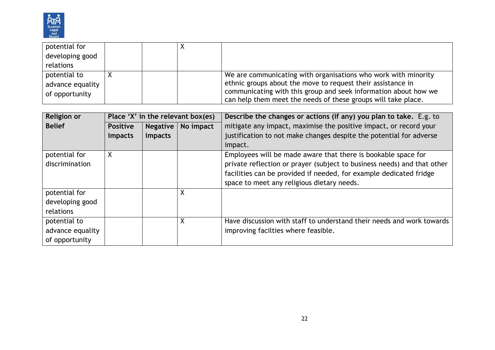

| potential for    |  |                                                                 |
|------------------|--|-----------------------------------------------------------------|
| developing good  |  |                                                                 |
| relations        |  |                                                                 |
| potential to     |  | We are communicating with organisations who work with minority  |
| advance equality |  | ethnic groups about the move to request their assistance in     |
| of opportunity   |  | communicating with this group and seek information about how we |
|                  |  | can help them meet the needs of these groups will take place.   |

| <b>Religion or</b> | Place 'X' in the relevant box(es) |                 |           | Describe the changes or actions (if any) you plan to take. E.g. to      |  |  |
|--------------------|-----------------------------------|-----------------|-----------|-------------------------------------------------------------------------|--|--|
| <b>Belief</b>      | <b>Positive</b>                   | <b>Negative</b> | No impact | mitigate any impact, maximise the positive impact, or record your       |  |  |
|                    | impacts                           | impacts         |           | justification to not make changes despite the potential for adverse     |  |  |
|                    |                                   |                 |           | impact.                                                                 |  |  |
| potential for      | X                                 |                 |           | Employees will be made aware that there is bookable space for           |  |  |
| discrimination     |                                   |                 |           | private reflection or prayer (subject to business needs) and that other |  |  |
|                    |                                   |                 |           | facilities can be provided if needed, for example dedicated fridge      |  |  |
|                    |                                   |                 |           | space to meet any religious dietary needs.                              |  |  |
| potential for      |                                   |                 | Χ         |                                                                         |  |  |
| developing good    |                                   |                 |           |                                                                         |  |  |
| relations          |                                   |                 |           |                                                                         |  |  |
| potential to       |                                   |                 | Χ         | Have discussion with staff to understand their needs and work towards   |  |  |
| advance equality   |                                   |                 |           | improving facilties where feasible.                                     |  |  |
| of opportunity     |                                   |                 |           |                                                                         |  |  |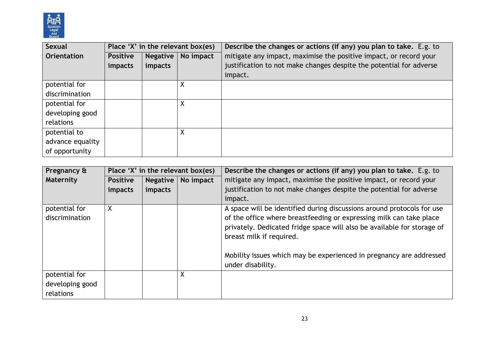

| Sexual           |                 |                 | Place 'X' in the relevant box(es) | Describe the changes or actions (if any) you plan to take. E.g. to  |  |  |
|------------------|-----------------|-----------------|-----------------------------------|---------------------------------------------------------------------|--|--|
| Orientation      | <b>Positive</b> | <b>Negative</b> | No impact                         | mitigate any impact, maximise the positive impact, or record your   |  |  |
|                  | impacts         | impacts         |                                   | justification to not make changes despite the potential for adverse |  |  |
|                  |                 |                 |                                   | impact.                                                             |  |  |
| potential for    |                 |                 | Χ                                 |                                                                     |  |  |
| discrimination   |                 |                 |                                   |                                                                     |  |  |
| potential for    |                 |                 | Χ                                 |                                                                     |  |  |
| developing good  |                 |                 |                                   |                                                                     |  |  |
| relations        |                 |                 |                                   |                                                                     |  |  |
| potential to     |                 |                 | X                                 |                                                                     |  |  |
| advance equality |                 |                 |                                   |                                                                     |  |  |
| of opportunity   |                 |                 |                                   |                                                                     |  |  |

| Pregnancy &                                   |                 |                 | Place 'X' in the relevant box(es) | Describe the changes or actions (if any) you plan to take. E.g. to                                                                                                                                                                                                                                                                               |  |  |
|-----------------------------------------------|-----------------|-----------------|-----------------------------------|--------------------------------------------------------------------------------------------------------------------------------------------------------------------------------------------------------------------------------------------------------------------------------------------------------------------------------------------------|--|--|
| Maternity                                     | <b>Positive</b> | <b>Negative</b> | No impact                         | mitigate any impact, maximise the positive impact, or record your                                                                                                                                                                                                                                                                                |  |  |
|                                               | impacts         | impacts         |                                   | justification to not make changes despite the potential for adverse                                                                                                                                                                                                                                                                              |  |  |
|                                               |                 |                 |                                   | impact.                                                                                                                                                                                                                                                                                                                                          |  |  |
| potential for<br>discrimination               | X               |                 |                                   | A space will be identified during discussions around protocols for use<br>of the office where breastfeeding or expressing milk can take place<br>privately. Dedicated fridge space will also be available for storage of<br>breast milk if required.<br>Mobility issues which may be experienced in pregnancy are addressed<br>under disability. |  |  |
| potential for<br>developing good<br>relations |                 |                 | X                                 |                                                                                                                                                                                                                                                                                                                                                  |  |  |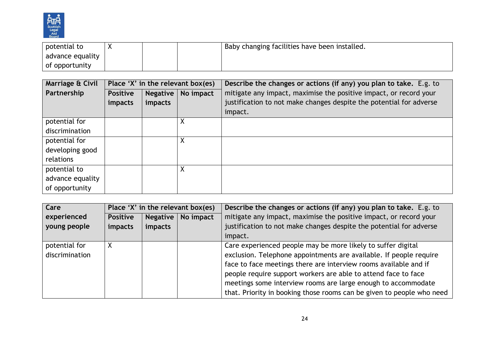

| potential to     | Baby changing facilities have been installed. |
|------------------|-----------------------------------------------|
| advance equality |                                               |
| of opportunity   |                                               |

| Marriage & Civil |                 |                 | Place 'X' in the relevant box(es) | Describe the changes or actions (if any) you plan to take. E.g. to  |  |  |
|------------------|-----------------|-----------------|-----------------------------------|---------------------------------------------------------------------|--|--|
| Partnership      | <b>Positive</b> | <b>Negative</b> | No impact                         | mitigate any impact, maximise the positive impact, or record your   |  |  |
|                  | impacts         | impacts         |                                   | justification to not make changes despite the potential for adverse |  |  |
|                  |                 |                 |                                   | impact.                                                             |  |  |
| potential for    |                 |                 | Χ                                 |                                                                     |  |  |
| discrimination   |                 |                 |                                   |                                                                     |  |  |
| potential for    |                 |                 | Χ                                 |                                                                     |  |  |
| developing good  |                 |                 |                                   |                                                                     |  |  |
| relations        |                 |                 |                                   |                                                                     |  |  |
| potential to     |                 |                 | X                                 |                                                                     |  |  |
| advance equality |                 |                 |                                   |                                                                     |  |  |
| of opportunity   |                 |                 |                                   |                                                                     |  |  |

| Care           | Place 'X' in the relevant box(es)               |         | Describe the changes or actions (if any) you plan to take. E.g. to    |  |
|----------------|-------------------------------------------------|---------|-----------------------------------------------------------------------|--|
| experienced    | No impact<br><b>Negative</b><br><b>Positive</b> |         | mitigate any impact, maximise the positive impact, or record your     |  |
| young people   | impacts                                         | impacts | justification to not make changes despite the potential for adverse   |  |
|                |                                                 |         | impact.                                                               |  |
| potential for  | Χ                                               |         | Care experienced people may be more likely to suffer digital          |  |
| discrimination |                                                 |         | exclusion. Telephone appointments are available. If people require    |  |
|                |                                                 |         | face to face meetings there are interview rooms available and if      |  |
|                |                                                 |         | people require support workers are able to attend face to face        |  |
|                |                                                 |         | meetings some interview rooms are large enough to accommodate         |  |
|                |                                                 |         | that. Priority in booking those rooms can be given to people who need |  |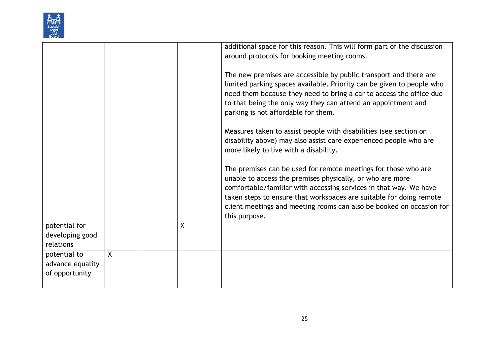| Scottish             |  |
|----------------------|--|
| Legal<br>Aid<br>oard |  |

|                                                    |         |   | additional space for this reason. This will form part of the discussion<br>around protocols for booking meeting rooms.                                                                                                                                                                                                                                           |
|----------------------------------------------------|---------|---|------------------------------------------------------------------------------------------------------------------------------------------------------------------------------------------------------------------------------------------------------------------------------------------------------------------------------------------------------------------|
|                                                    |         |   | The new premises are accessible by public transport and there are<br>limited parking spaces available. Priority can be given to people who<br>need them because they need to bring a car to access the office due<br>to that being the only way they can attend an appointment and<br>parking is not affordable for them.                                        |
|                                                    |         |   | Measures taken to assist people with disabilities (see section on<br>disability above) may also assist care experienced people who are<br>more likely to live with a disability.                                                                                                                                                                                 |
|                                                    |         |   | The premises can be used for remote meetings for those who are<br>unable to access the premises physically, or who are more<br>comfortable/familiar with accessing services in that way. We have<br>taken steps to ensure that workspaces are suitable for doing remote<br>client meetings and meeting rooms can also be booked on occasion for<br>this purpose. |
| potential for<br>developing good<br>relations      |         | X |                                                                                                                                                                                                                                                                                                                                                                  |
| potential to<br>advance equality<br>of opportunity | $\sf X$ |   |                                                                                                                                                                                                                                                                                                                                                                  |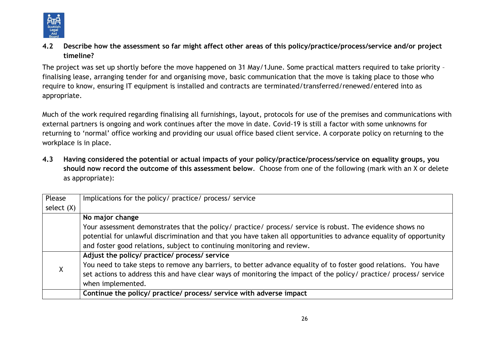

**4.2 Describe how the assessment so far might affect other areas of this policy/practice/process/service and/or project timeline?** 

The project was set up shortly before the move happened on 31 May/1June. Some practical matters required to take priority – finalising lease, arranging tender for and organising move, basic communication that the move is taking place to those who require to know, ensuring IT equipment is installed and contracts are terminated/transferred/renewed/entered into as appropriate.

Much of the work required regarding finalising all furnishings, layout, protocols for use of the premises and communications with external partners is ongoing and work continues after the move in date. Covid-19 is still a factor with some unknowns for returning to 'normal' office working and providing our usual office based client service. A corporate policy on returning to the workplace is in place.

**4.3 Having considered the potential or actual impacts of your policy/practice/process/service on equality groups, you should now record the outcome of this assessment below**. Choose from one of the following (mark with an X or delete as appropriate):

| Please       | Implications for the policy/ practice/ process/ service                                                            |
|--------------|--------------------------------------------------------------------------------------------------------------------|
| select $(X)$ |                                                                                                                    |
|              | No major change                                                                                                    |
|              | Your assessment demonstrates that the policy/ practice/ process/ service is robust. The evidence shows no          |
|              | potential for unlawful discrimination and that you have taken all opportunities to advance equality of opportunity |
|              | and foster good relations, subject to continuing monitoring and review.                                            |
|              | Adjust the policy/ practice/ process/ service                                                                      |
| Χ            | You need to take steps to remove any barriers, to better advance equality of to foster good relations. You have    |
|              | set actions to address this and have clear ways of monitoring the impact of the policy/ practice/ process/ service |
|              | when implemented.                                                                                                  |
|              | Continue the policy/ practice/ process/ service with adverse impact                                                |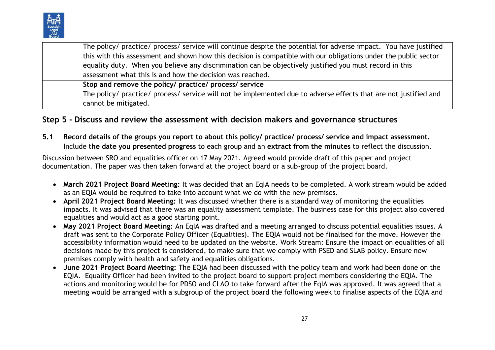

| The policy/ practice/ process/ service will continue despite the potential for adverse impact. You have justified |
|-------------------------------------------------------------------------------------------------------------------|
| this with this assessment and shown how this decision is compatible with our obligations under the public sector  |
| equality duty. When you believe any discrimination can be objectively justified you must record in this           |
| assessment what this is and how the decision was reached.                                                         |
| Stop and remove the policy/ practice/ process/ service                                                            |
| The policy/ practice/ process/ service will not be implemented due to adverse effects that are not justified and  |
| cannot be mitigated.                                                                                              |

### **Step 5 - Discuss and review the assessment with decision makers and governance structures**

**5.1 Record details of the groups you report to about this policy/ practice/ process/ service and impact assessment.**  Include t**he date you presented progress** to each group and an **extract from the minutes** to reflect the discussion.

Discussion between SRO and equalities officer on 17 May 2021. Agreed would provide draft of this paper and project documentation. The paper was then taken forward at the project board or a sub-group of the project board.

- **March 2021 Project Board Meeting:** It was decided that an EqIA needs to be completed. A work stream would be added as an EQIA would be required to take into account what we do with the new premises.
- **April 2021 Project Board Meeting:** It was discussed whether there is a standard way of monitoring the equalities impacts. It was advised that there was an equality assessment template. The business case for this project also covered equalities and would act as a good starting point.
- **May 2021 Project Board Meeting:** An EqIA was drafted and a meeting arranged to discuss potential equalities issues. A draft was sent to the Corporate Policy Officer (Equalities). The EQIA would not be finalised for the move. However the accessibility information would need to be updated on the website. Work Stream: Ensure the impact on equalities of all decisions made by this project is considered, to make sure that we comply with PSED and SLAB policy. Ensure new premises comply with health and safety and equalities obligations.
- **June 2021 Project Board Meeting:** The EQIA had been discussed with the policy team and work had been done on the EQIA. Equality Officer had been invited to the project board to support project members considering the EQIA. The actions and monitoring would be for PDSO and CLAO to take forward after the EqIA was approved. It was agreed that a meeting would be arranged with a subgroup of the project board the following week to finalise aspects of the EQIA and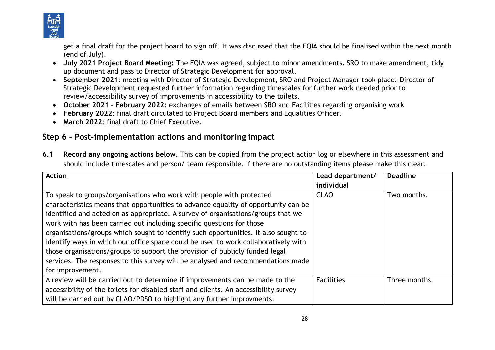

get a final draft for the project board to sign off. It was discussed that the EQIA should be finalised within the next month (end of July).

- **July 2021 Project Board Meeting:** The EQIA was agreed, subject to minor amendments. SRO to make amendment, tidy up document and pass to Director of Strategic Development for approval.
- **September 2021**: meeting with Director of Strategic Development, SRO and Project Manager took place. Director of Strategic Development requested further information regarding timescales for further work needed prior to review/accessibility survey of improvements in accessibility to the toilets.
- **October 2021 – February 2022**: exchanges of emails between SRO and Facilities regarding organising work
- **February 2022**: final draft circulated to Project Board members and Equalities Officer.
- **March 2022**: final draft to Chief Executive.

# **Step 6 – Post-implementation actions and monitoring impact**

**6.1 Record any ongoing actions below.** This can be copied from the project action log or elsewhere in this assessment and should include timescales and person/ team responsible. If there are no outstanding items please make this clear.

| <b>Action</b>                                                                        | Lead department/  | <b>Deadline</b> |
|--------------------------------------------------------------------------------------|-------------------|-----------------|
|                                                                                      | individual        |                 |
| To speak to groups/organisations who work with people with protected                 | <b>CLAO</b>       | Two months.     |
| characteristics means that opportunities to advance equality of opportunity can be   |                   |                 |
| identified and acted on as appropriate. A survey of organisations/groups that we     |                   |                 |
| work with has been carried out including specific questions for those                |                   |                 |
| organisations/groups which sought to identify such opportunities. It also sought to  |                   |                 |
| identify ways in which our office space could be used to work collaboratively with   |                   |                 |
| those organisations/groups to support the provision of publicly funded legal         |                   |                 |
| services. The responses to this survey will be analysed and recommendations made     |                   |                 |
| for improvement.                                                                     |                   |                 |
| A review will be carried out to determine if improvements can be made to the         | <b>Facilities</b> | Three months.   |
| accessibility of the toilets for disabled staff and clients. An accessibility survey |                   |                 |
| will be carried out by CLAO/PDSO to highlight any further improvments.               |                   |                 |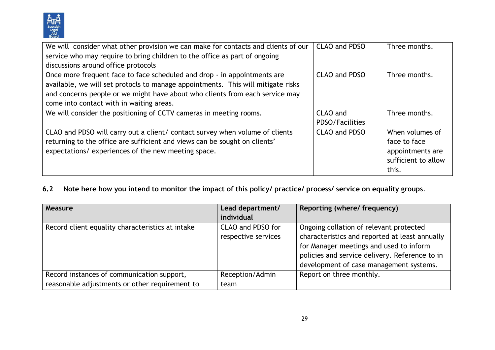

| We will consider what other provision we can make for contacts and clients of our | <b>CLAO and PDSO</b> | Three months.       |
|-----------------------------------------------------------------------------------|----------------------|---------------------|
| service who may require to bring children to the office as part of ongoing        |                      |                     |
| discussions around office protocols                                               |                      |                     |
| Once more frequent face to face scheduled and drop - in appointments are          | <b>CLAO and PDSO</b> | Three months.       |
| available, we will set protocls to manage appointments. This will mitigate risks  |                      |                     |
| and concerns people or we might have about who clients from each service may      |                      |                     |
| come into contact with in waiting areas.                                          |                      |                     |
| We will consider the positioning of CCTV cameras in meeting rooms.                | CLAO and             | Three months.       |
|                                                                                   | PDSO/Facilities      |                     |
| CLAO and PDSO will carry out a client/ contact survey when volume of clients      | CLAO and PDSO        | When volumes of     |
| returning to the office are sufficient and views can be sought on clients'        |                      | face to face        |
| expectations/ experiences of the new meeting space.                               |                      | appointments are    |
|                                                                                   |                      | sufficient to allow |
|                                                                                   |                      | this.               |

**6.2 Note here how you intend to monitor the impact of this policy/ practice/ process/ service on equality groups**.

| Measure                                                                                      | Lead department/<br>individual           | Reporting (where/ frequency)                                                                                                                                                                                                      |
|----------------------------------------------------------------------------------------------|------------------------------------------|-----------------------------------------------------------------------------------------------------------------------------------------------------------------------------------------------------------------------------------|
| Record client equality characteristics at intake                                             | CLAO and PDSO for<br>respective services | Ongoing collation of relevant protected<br>characteristics and reported at least annually<br>for Manager meetings and used to inform<br>policies and service delivery. Reference to in<br>development of case management systems. |
| Record instances of communication support,<br>reasonable adjustments or other requirement to | Reception/Admin<br>team                  | Report on three monthly.                                                                                                                                                                                                          |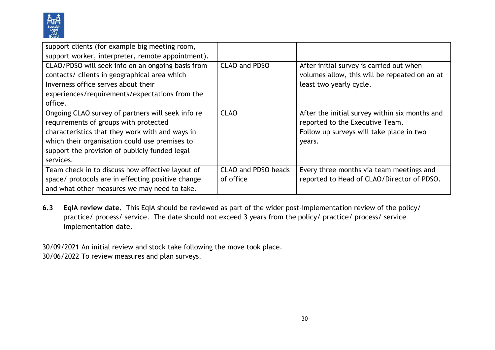

| support clients (for example big meeting room,    |                            |                                                |
|---------------------------------------------------|----------------------------|------------------------------------------------|
| support worker, interpreter, remote appointment). |                            |                                                |
| CLAO/PDSO will seek info on an ongoing basis from | CLAO and PDSO              | After initial survey is carried out when       |
| contacts/ clients in geographical area which      |                            | volumes allow, this will be repeated on an at  |
| Inverness office serves about their               |                            | least two yearly cycle.                        |
| experiences/requirements/expectations from the    |                            |                                                |
| office.                                           |                            |                                                |
| Ongoing CLAO survey of partners will seek info re | <b>CLAO</b>                | After the initial survey within six months and |
| requirements of groups with protected             |                            | reported to the Executive Team.                |
| characteristics that they work with and ways in   |                            | Follow up surveys will take place in two       |
| which their organisation could use premises to    |                            | years.                                         |
| support the provision of publicly funded legal    |                            |                                                |
| services.                                         |                            |                                                |
| Team check in to discuss how effective layout of  | <b>CLAO and PDSO heads</b> | Every three months via team meetings and       |
| space/ protocols are in effecting positive change | of office                  | reported to Head of CLAO/Director of PDSO.     |
| and what other measures we may need to take.      |                            |                                                |

**6.3 EqIA review date.** This EqIA should be reviewed as part of the wider post-implementation review of the policy/ practice/ process/ service. The date should not exceed 3 years from the policy/ practice/ process/ service implementation date.

30/09/2021 An initial review and stock take following the move took place.

30/06/2022 To review measures and plan surveys.